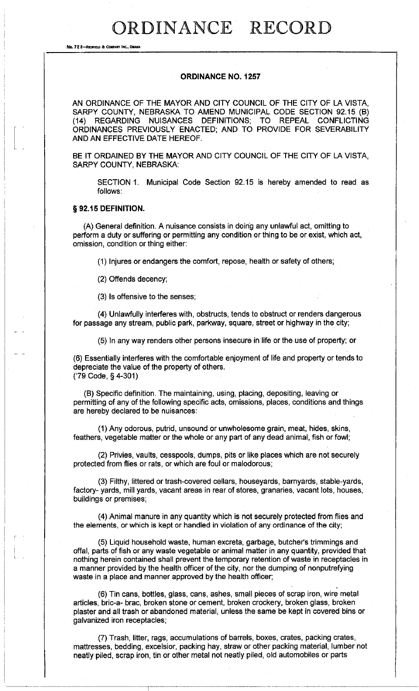# ORDINANCE RECORD

**No. 72 8-REDFIELD & COMPANY INC., OMAHA** 

## ORDINANCE NO. 1257

AN ORDINANCE OF THE MAYOR AND CITY COUNCIL OF THE CITY OF LA VISTA, SARPY COUNTY, NEBRASKA TO AMEND MUNICIPAL CODE SECTION 92.15 (B) (14) REGARDING NUISANCES DEFINITIONS; TO REPEAL CONFLICTING ORDINANCES PREVIOUSLY ENACTED; AND TO PROVIDE FOR SEVERABILITY AND AN EFFECTIVE DATE HEREOF.

BE IT ORDAINED BY THE MAYOR AND CITY COUNCIL OF THE CITY OF LA VISTA, SARPY COUNTY, NEBRASKA:

SECTION 1. Municipal Code Section 92.15 is hereby amended to read as follows:

## § 92.15 DEFINITION.

(A) General definition. A nuisance consists in doing any unlawful act, omitting to perform a duty or suffering or permitting any condition or thing to be or exist, which act, omission, condition or thing either:

(1) Injures or endangers the comfort, repose, health or safety of others;

(2) Offends decency;

(3) Is offensive to the senses;

(4) Unlawfully interferes with, obstructs, tends to obstruct or renders dangerous for passage any stream, public park, parkway, square, street or highway in the city;

(5) In any way renders other persons insecure in life or the use of property; or

(6) Essentially interferes with the comfortable enjoyment of life and property or tends to depreciate the value of the property of others. ('79 Code, § 4-301)

(B) Specific definition. The maintaining, using, placing, depositing, leaving or permitting of any of the following specific acts, omissions, places, conditions and things are hereby declared to be nuisances:

(1) Any odorous, putrid, unsound or unwholesome grain, meat, hides, skins, feathers, vegetable matter or the whole or any part of any dead animal, fish or fowl;

(2) Privies, vaults, cesspools, dumps, pits or like places which are not securely protected from flies or rats, or which are foul or malodorous;

(3) Filthy, littered or trash-covered cellars, houseyards, barnyards, stable-yards, factory- yards, mill yards, vacant areas in rear of stores, granaries, vacant lots, houses, buildings or premises;

(4) Animal manure in any quantity which is not securely protected from flies and the elements, or which is kept or handled in violation of any ordinance of the city;

(5) Liquid household waste, human excreta, garbage, butcher'S trimmings and offal, parts of fish or any waste vegetable or animal matter in any quantity, provided that nothing herein contained shall prevent the temporary retention of waste in receptacles in a manner provided by the health officer of the city, nor the dumping of nonputrefying waste in a place and manner approved by the health officer;

(6) Tin cans, bottles, glass, cans, ashes, small pieces of scrap iron, wire metal articles, bric-a- brac, broken stone or cement, broken crockery, broken glass, broken plaster and all trash or abandoned material, unless the same be kept in covered bins or galvanized iron receptacles;

(7) Trash, litter, rags, accumulations of barrels, boxes, crates, packing crates, mattresses, bedding, excelsior, packing hay, straw or other packing material, lumber not neatly piled, scrap iron, tin or other metal not neatly piled, old automobiles or parts

r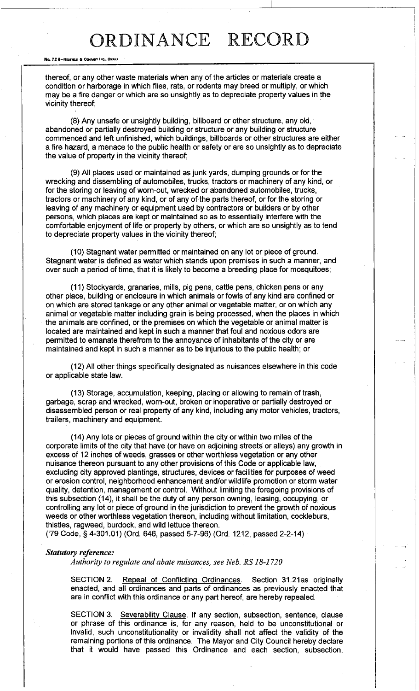# ORDINANCE RECORD

#### **No. 72 8-RtlIFIELD a COMPANY INt., 0IlAHA**

thereof, or any other waste materials when any of the articles or materials create a condition or harborage in which flies, rats, or rodents may breed or multiply, or which may be a fire danger or which are so unsightly as to depreciate property values in the vicinity thereof;

(8) Any unsafe or unsightly building, billboard or other structure, any old, abandoned or partially destroyed building or structure or any building or structure commenced and left unfinished, which buildings, billboards or other structures are either a fire hazard, a menace to the public health or safety or are so unsightly as to depreciate the value of property in the vicinity thereof;

(9) All places used or maintained as junk yards, dumping grounds or for the wrecking and dissembling of automobiles, trucks, tractors or machinery of any kind, or for the storing or leaving of worn-out, wrecked or abandoned automobiles, trucks, tractors or machinery of any kind, or of any of the parts thereof, or for the storing or leaving of any machinery or equipment used by contractors or builders or by other persons, which places are kept or maintained so as to essentially interfere with the comfortable enjoyment of life or property by others, or which are so unsightly as to tend to depreciate property values in the vicinity thereof;

(10) Stagnant water permitted or maintained on any lot or piece of ground. Stagnant water is defined as water which stands upon premises in such a manner, and over such a period of time, that it is likely to become a breeding place for mosquitoes;

(11) Stockyards, granaries, mills, pig pens, cattle pens, chicken pens or any other place, building or enclosure in which animals or fowls of any kind are confined or on which are stored tankage or any other animal or vegetable matter, or on which any animal or vegetable matter including grain is being processed, when the places in which the animals are confined, or the premises on which the vegetable or animal matter is located are maintained and kept in such a manner that foul and noxious odors are permitted to emanate therefrom to the annoyance of inhabitants of the city or are maintained and kept in such a manner as to be injurious to the public health; or

(12) All other things specifically designated as nuisances elsewhere in this code or applicable state law.

(13) Storage, accumulation, keeping, placing or allowing to remain of trash, garbage, scrap and wrecked, worn-out, broken or inoperative or partially destroyed or disassembled person or real property of any kind, including any motor vehicles, tractors, trailers, machinery and equipment.

(14) Any lots or pieces of ground within the city or within two miles of the corporate limits of the city that have (or have on adjoining streets or alleys) any growth in excess of 12 inches of weeds, grasses or other worthless vegetation or any other nuisance thereon pursuant to any other provisions of this Code or applicable law, excluding city approved plantings, structures, devices or facilities for purposes of weed or erosion control, neighborhood enhancement and/or wildlife promotion or storm water quality, detention, management or control. Without limiting the foregoing provisions of this subsection (14), it shall be the duty of any person owning, leasing, occupying, or controlling any lot or piece of ground in the jurisdiction to prevent the growth of noxious weeds or other worthless vegetation thereon, including without limitation, cockleburs, thistles, ragweed, burdock, and wild lettuce thereon.

('79 Code, § 4-301.01) (Ord. 646, passed 5-7-96) (Ord. 1212, passed 2-2-14)

#### *Statutory reference:*

*Authority to regulate and abate nuisances, see Neb. RS 18-1720* 

SECTION 2. Repeal of Conflicting Ordinances. Section 31.21as originally enacted, and all ordinances and parts of ordinances as previously enacted that are in conflict with this ordinance or any part hereof, are hereby repealed.

SECTION 3. Severability Clause. **If** any section, subsection, sentence, clause or phrase of this ordinance is, for any reason, held to be unconstitutional or invalid, such unconstitutionality or invalidity shall not affect the validity of the remaining portions of this ordinance. The Mayor and City Council hereby declare that it would have passed this Ordinance and each section, subsection,